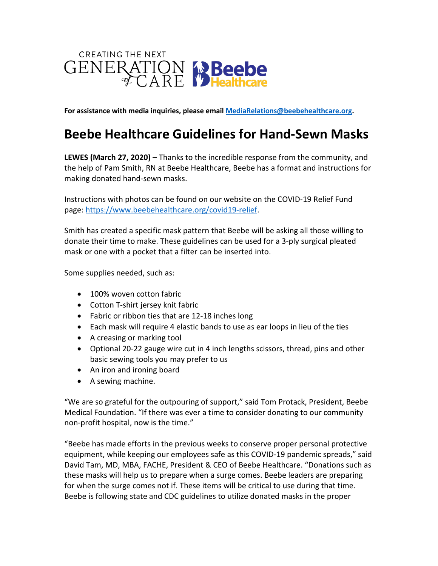

**For assistance with media inquiries, please email [MediaRelations@beebehealthcare.org.](mailto:MediaRelations@beebehealthcare.org)** 

## **Beebe Healthcare Guidelines for Hand-Sewn Masks**

**LEWES (March 27, 2020)** – Thanks to the incredible response from the community, and the help of Pam Smith, RN at Beebe Healthcare, Beebe has a format and instructions for making donated hand-sewn masks.

Instructions with photos can be found on our website on the COVID-19 Relief Fund page: [https://www.beebehealthcare.org/covid19-relief.](https://www.beebehealthcare.org/covid19-relief)

Smith has created a specific mask pattern that Beebe will be asking all those willing to donate their time to make. These guidelines can be used for a 3-ply surgical pleated mask or one with a pocket that a filter can be inserted into.

Some supplies needed, such as:

- 100% woven cotton fabric
- Cotton T-shirt jersey knit fabric
- Fabric or ribbon ties that are 12-18 inches long
- Each mask will require 4 elastic bands to use as ear loops in lieu of the ties
- A creasing or marking tool
- Optional 20-22 gauge wire cut in 4 inch lengths scissors, thread, pins and other basic sewing tools you may prefer to us
- An iron and ironing board
- A sewing machine.

"We are so grateful for the outpouring of support," said Tom Protack, President, Beebe Medical Foundation. "If there was ever a time to consider donating to our community non-profit hospital, now is the time."

"Beebe has made efforts in the previous weeks to conserve proper personal protective equipment, while keeping our employees safe as this COVID-19 pandemic spreads," said David Tam, MD, MBA, FACHE, President & CEO of Beebe Healthcare. "Donations such as these masks will help us to prepare when a surge comes. Beebe leaders are preparing for when the surge comes not if. These items will be critical to use during that time. Beebe is following state and CDC guidelines to utilize donated masks in the proper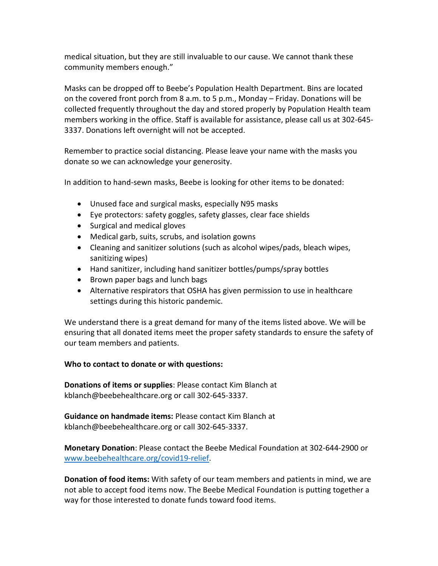medical situation, but they are still invaluable to our cause. We cannot thank these community members enough."

Masks can be dropped off to Beebe's Population Health Department. Bins are located on the covered front porch from 8 a.m. to 5 p.m., Monday – Friday. Donations will be collected frequently throughout the day and stored properly by Population Health team members working in the office. Staff is available for assistance, please call us at 302-645- 3337. Donations left overnight will not be accepted.

Remember to practice social distancing. Please leave your name with the masks you donate so we can acknowledge your generosity.

In addition to hand-sewn masks, Beebe is looking for other items to be donated:

- Unused face and surgical masks, especially N95 masks
- Eye protectors: safety goggles, safety glasses, clear face shields
- Surgical and medical gloves
- Medical garb, suits, scrubs, and isolation gowns
- Cleaning and sanitizer solutions (such as alcohol wipes/pads, bleach wipes, sanitizing wipes)
- Hand sanitizer, including hand sanitizer bottles/pumps/spray bottles
- Brown paper bags and lunch bags
- Alternative respirators that OSHA has given permission to use in healthcare settings during this historic pandemic.

We understand there is a great demand for many of the items listed above. We will be ensuring that all donated items meet the proper safety standards to ensure the safety of our team members and patients.

## **Who to contact to donate or with questions:**

**Donations of items or supplies**: Please contact Kim Blanch at kblanch@beebehealthcare.org or call 302-645-3337.

**Guidance on handmade items:** Please contact Kim Blanch at kblanch@beebehealthcare.org or call 302-645-3337.

**Monetary Donation**: Please contact the Beebe Medical Foundation at 302-644-2900 or [www.beebehealthcare.org/covid19-relief.](http://www.beebehealthcare.org/covid19-relief)

**Donation of food items:** With safety of our team members and patients in mind, we are not able to accept food items now. The Beebe Medical Foundation is putting together a way for those interested to donate funds toward food items.